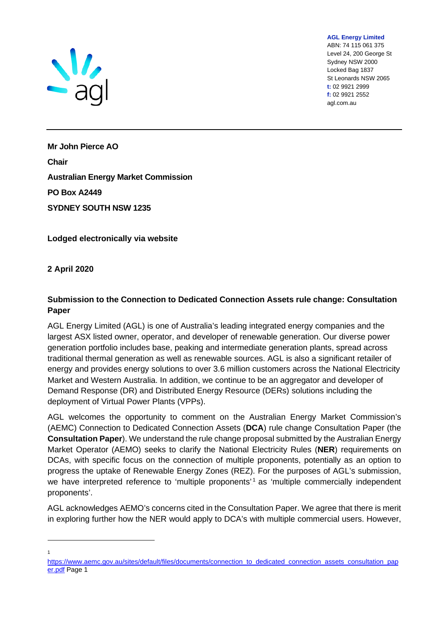

ABN: 74 115 061 375 Level 24, 200 George St Sydney NSW 2000 Locked Bag 1837 St Leonards NSW 2065 **t:** 02 9921 2999 **f:** 02 9921 2552 agl.com.au

**AGL Energy Limited**

**Mr John Pierce AO Chair Australian Energy Market Commission PO Box A2449 SYDNEY SOUTH NSW 1235**

**Lodged electronically via website**

**2 April 2020**

## **Submission to the Connection to Dedicated Connection Assets rule change: Consultation Paper**

AGL Energy Limited (AGL) is one of Australia's leading integrated energy companies and the largest ASX listed owner, operator, and developer of renewable generation. Our diverse power generation portfolio includes base, peaking and intermediate generation plants, spread across traditional thermal generation as well as renewable sources. AGL is also a significant retailer of energy and provides energy solutions to over 3.6 million customers across the National Electricity Market and Western Australia. In addition, we continue to be an aggregator and developer of Demand Response (DR) and Distributed Energy Resource (DERs) solutions including the deployment of Virtual Power Plants (VPPs).

AGL welcomes the opportunity to comment on the Australian Energy Market Commission's (AEMC) Connection to Dedicated Connection Assets (**DCA**) rule change Consultation Paper (the **Consultation Paper**). We understand the rule change proposal submitted by the Australian Energy Market Operator (AEMO) seeks to clarify the National Electricity Rules (**NER**) requirements on DCAs, with specific focus on the connection of multiple proponents, potentially as an option to progress the uptake of Renewable Energy Zones (REZ). For the purposes of AGL's submission, we have interpreted reference to 'multiple proponents'<sup>1</sup> as 'multiple commercially independent proponents'.

AGL acknowledges AEMO's concerns cited in the Consultation Paper. We agree that there is merit in exploring further how the NER would apply to DCA's with multiple commercial users. However,

1

[https://www.aemc.gov.au/sites/default/files/documents/connection\\_to\\_dedicated\\_connection\\_assets\\_consultation\\_pap](https://www.aemc.gov.au/sites/default/files/documents/connection_to_dedicated_connection_assets_consultation_paper.pdf) [er.pdf](https://www.aemc.gov.au/sites/default/files/documents/connection_to_dedicated_connection_assets_consultation_paper.pdf) Page 1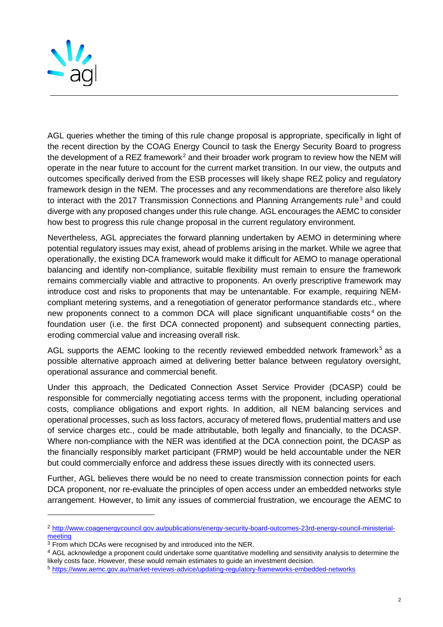

AGL queries whether the timing of this rule change proposal is appropriate, specifically in light of the recent direction by the COAG Energy Council to task the Energy Security Board to progress the development of a REZ framework $^2$  and their broader work program to review how the NEM will operate in the near future to account for the current market transition. In our view, the outputs and outcomes specifically derived from the ESB processes will likely shape REZ policy and regulatory framework design in the NEM. The processes and any recommendations are therefore also likely to interact with the 2017 Transmission Connections and Planning Arrangements rule<sup>3</sup> and could diverge with any proposed changes under this rule change. AGL encourages the AEMC to consider how best to progress this rule change proposal in the current regulatory environment.

Nevertheless, AGL appreciates the forward planning undertaken by AEMO in determining where potential regulatory issues may exist, ahead of problems arising in the market. While we agree that operationally, the existing DCA framework would make it difficult for AEMO to manage operational balancing and identify non-compliance, suitable flexibility must remain to ensure the framework remains commercially viable and attractive to proponents. An overly prescriptive framework may introduce cost and risks to proponents that may be untenantable. For example, requiring NEMcompliant metering systems, and a renegotiation of generator performance standards etc., where new proponents connect to a common DCA will place significant unquantifiable costs<sup>4</sup> on the foundation user (i.e. the first DCA connected proponent) and subsequent connecting parties, eroding commercial value and increasing overall risk.

AGL supports the AEMC looking to the recently reviewed embedded network framework<sup>5</sup> as a possible alternative approach aimed at delivering better balance between regulatory oversight, operational assurance and commercial benefit.

Under this approach, the Dedicated Connection Asset Service Provider (DCASP) could be responsible for commercially negotiating access terms with the proponent, including operational costs, compliance obligations and export rights. In addition, all NEM balancing services and operational processes, such as loss factors, accuracy of metered flows, prudential matters and use of service charges etc., could be made attributable, both legally and financially, to the DCASP. Where non-compliance with the NER was identified at the DCA connection point, the DCASP as the financially responsibly market participant (FRMP) would be held accountable under the NER but could commercially enforce and address these issues directly with its connected users.

Further, AGL believes there would be no need to create transmission connection points for each DCA proponent, nor re-evaluate the principles of open access under an embedded networks style arrangement. However, to limit any issues of commercial frustration, we encourage the AEMC to

<sup>2</sup> [http://www.coagenergycouncil.gov.au/publications/energy-security-board-outcomes-23rd-energy-council-ministerial](http://www.coagenergycouncil.gov.au/publications/energy-security-board-outcomes-23rd-energy-council-ministerial-meeting)[meeting](http://www.coagenergycouncil.gov.au/publications/energy-security-board-outcomes-23rd-energy-council-ministerial-meeting)

<sup>3</sup> From which DCAs were recognised by and introduced into the NER.

<sup>&</sup>lt;sup>4</sup> AGL acknowledge a proponent could undertake some quantitative modelling and sensitivity analysis to determine the likely costs face. However, these would remain estimates to guide an investment decision.

<sup>5</sup> <https://www.aemc.gov.au/market-reviews-advice/updating-regulatory-frameworks-embedded-networks>